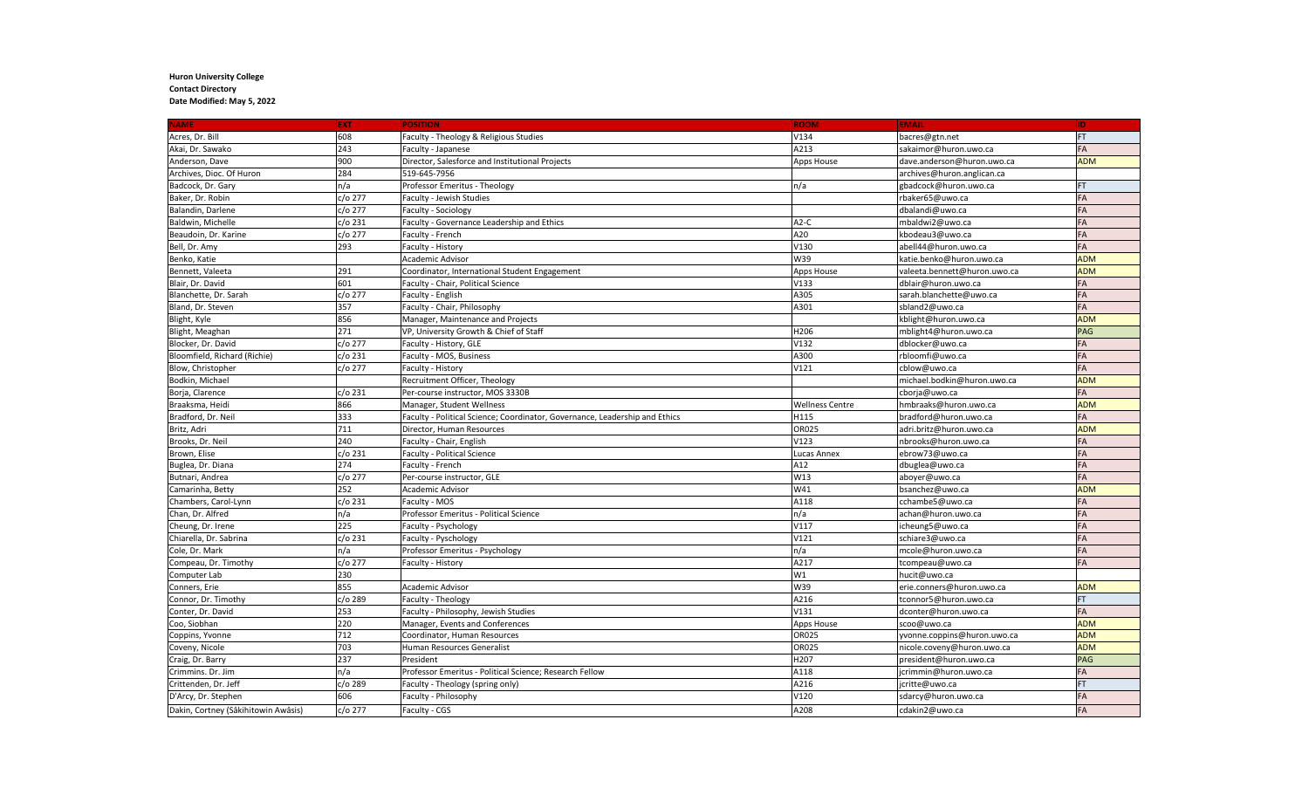| <b>NAME</b>                         | <b>EXT</b> | <b>POSITION</b>                                                             | <b>ROOM</b>            | <b>EMAIL</b>                 | $\overline{\mathsf{ID}}$ |
|-------------------------------------|------------|-----------------------------------------------------------------------------|------------------------|------------------------------|--------------------------|
| Acres, Dr. Bill                     | 608        | Faculty - Theology & Religious Studies                                      | V134                   | bacres@gtn.net               | <b>FT</b>                |
| Akai, Dr. Sawako                    | 243        | Faculty - Japanese                                                          | A213                   | sakaimor@huron.uwo.ca        | FA                       |
| Anderson, Dave                      | 900        | Director, Salesforce and Institutional Projects                             | Apps House             | dave.anderson@huron.uwo.ca   | <b>ADM</b>               |
| Archives, Dioc. Of Huron            | 284        | 519-645-7956                                                                |                        | archives@huron.anglican.ca   |                          |
| Badcock, Dr. Gary                   | n/a        | Professor Emeritus - Theology                                               | n/a                    | gbadcock@huron.uwo.ca        |                          |
| Baker, Dr. Robin                    | $c/o$ 277  | Faculty - Jewish Studies                                                    |                        | rbaker65@uwo.ca              | FA                       |
| Balandin, Darlene                   | c/o 277    | Faculty - Sociology                                                         |                        | dbalandi@uwo.ca              | FA                       |
| Baldwin, Michelle                   | $c$ /o 231 | Faculty - Governance Leadership and Ethics                                  | $A2-C$                 | mbaldwi2@uwo.ca              | <b>FA</b>                |
| Beaudoin, Dr. Karine                | c/o 277    | Faculty - French                                                            | A20                    | kbodeau3@uwo.ca              | FA                       |
| Bell, Dr. Amy                       | 293        | Faculty - History                                                           | V130                   | abell44@huron.uwo.ca         | FA                       |
| Benko, Katie                        |            | Academic Advisor                                                            | W39                    | katie.benko@huron.uwo.ca     | <b>ADM</b>               |
| Bennett, Valeeta                    | 291        | Coordinator, International Student Engagement                               | Apps House             | valeeta.bennett@huron.uwo.ca | <b>ADM</b>               |
| Blair, Dr. David                    | 601        | Faculty - Chair, Political Science                                          | V133                   | dblair@huron.uwo.ca          | FA                       |
| Blanchette, Dr. Sarah               | $c/o$ 277  | Faculty - English                                                           | A305                   | sarah.blanchette@uwo.ca      | <b>FA</b>                |
| Bland, Dr. Steven                   | 357        | Faculty - Chair, Philosophy                                                 | A301                   | sbland2@uwo.ca               | FA                       |
| Blight, Kyle                        | 856        | Manager, Maintenance and Projects                                           |                        | kblight@huron.uwo.ca         | <b>ADM</b>               |
| Blight, Meaghan                     | 271        | VP, University Growth & Chief of Staff                                      | H206                   | mblight4@huron.uwo.ca        | PAG                      |
| Blocker, Dr. David                  | c/o 277    | Faculty - History, GLE                                                      | V132                   | dblocker@uwo.ca              | FA                       |
| Bloomfield, Richard (Richie)        | $c$ /o 231 | Faculty - MOS, Business                                                     | A300                   | bloomfi@uwo.ca               | FA                       |
| Blow, Christopher                   | $c$ /o 277 | Faculty - History                                                           | V121                   | cblow@uwo.ca                 | <b>FA</b>                |
| Bodkin, Michael                     |            | Recruitment Officer, Theology                                               |                        | michael.bodkin@huron.uwo.ca  | <b>ADM</b>               |
| Borja, Clarence                     | $c$ /o 231 | Per-course instructor, MOS 3330B                                            |                        | cborja@uwo.ca                | <b>FA</b>                |
| Braaksma, Heidi                     | 866        | Manager, Student Wellness                                                   | <b>Wellness Centre</b> | nmbraaks@huron.uwo.ca        | <b>ADM</b>               |
| Bradford, Dr. Neil                  | 333        | Faculty - Political Science; Coordinator, Governance, Leadership and Ethics | H115                   | bradford@huron.uwo.ca        | FA                       |
| Britz, Adri                         | 711        | Director, Human Resources                                                   | OR025                  | adri.britz@huron.uwo.ca      | <b>ADM</b>               |
| Brooks, Dr. Neil                    | 240        | Faculty - Chair, English                                                    | V123                   | nbrooks@huron.uwo.ca         | FA                       |
| Brown, Elise                        | $c/o$ 231  | <b>Faculty - Political Science</b>                                          | Lucas Annex            | ebrow73@uwo.ca               | FA                       |
| Buglea, Dr. Diana                   | 274        | Faculty - French                                                            | A12                    | dbuglea@uwo.ca               | FA                       |
| Butnari, Andrea                     | c/o 277    | Per-course instructor, GLE                                                  | W13                    | aboyer@uwo.ca                | <b>FA</b>                |
| Camarinha, Betty                    | 252        | Academic Advisor                                                            | W41                    | bsanchez@uwo.ca              | <b>ADM</b>               |
| Chambers, Carol-Lynn                | $c/o$ 231  | Faculty - MOS                                                               | A118                   | cchambe5@uwo.ca              | FA                       |
| Chan, Dr. Alfred                    | n/a        | Professor Emeritus - Political Science                                      | n/a                    | achan@huron.uwo.ca           | FA                       |
| Cheung, Dr. Irene                   | 225        | Faculty - Psychology                                                        | V117                   | icheung5@uwo.ca              | <b>FA</b>                |
| Chiarella, Dr. Sabrina              | $c/o$ 231  | Faculty - Pyschology                                                        | V121                   | schiare3@uwo.ca              | FA                       |
| Cole, Dr. Mark                      | n/a        | Professor Emeritus - Psychology                                             | n/a                    | mcole@huron.uwo.ca           | FA                       |
| Compeau, Dr. Timothy                | c/o 277    | Faculty - History                                                           | A217                   | tcompeau@uwo.ca              | FA                       |
| Computer Lab                        | 230        |                                                                             | W1                     | hucit@uwo.ca                 |                          |
| Conners, Erie                       | 855        | Academic Advisor                                                            | W39                    | erie.conners@huron.uwo.ca    | <b>ADM</b>               |
| Connor, Dr. Timothy                 | c/o 289    | Faculty - Theology                                                          | A216                   | tconnor5@huron.uwo.ca        |                          |
| Conter, Dr. David                   | 253        | Faculty - Philosophy, Jewish Studies                                        | V131                   | dconter@huron.uwo.ca         | FA                       |
| Coo, Siobhan                        | 220        | Manager, Events and Conferences                                             | Apps House             | scoo@uwo.ca                  | <b>ADM</b>               |
| Coppins, Yvonne                     | 712        | Coordinator, Human Resources                                                | <b>OR025</b>           | yvonne.coppins@huron.uwo.ca  | <b>ADM</b>               |
| Coveny, Nicole                      | 703        | Human Resources Generalist                                                  | OR025                  | nicole.coveny@huron.uwo.ca   | <b>ADM</b>               |
| Craig, Dr. Barry                    | 237        | President                                                                   | H207                   | president@huron.uwo.ca       | PAG                      |
| Crimmins. Dr. Jim                   | n/a        | Professor Emeritus - Political Science; Research Fellow                     | A118                   | crimmin@huron.uwo.ca         | FA                       |
| Crittenden, Dr. Jeff                | $c$ /o 289 | Faculty - Theology (spring only)                                            | A216                   | critte@uwo.ca                | <b>FT</b>                |
| D'Arcy, Dr. Stephen                 | 606        | Faculty - Philosophy                                                        | V120                   | sdarcy@huron.uwo.ca          | FA                       |
| Dakin, Cortney (Sâkihitowin Awâsis) | c/o 277    | Faculty - CGS                                                               | A208                   | cdakin2@uwo.ca               | FA                       |

## **Huron University College Contact Directory Date Modified: May 5, 2022**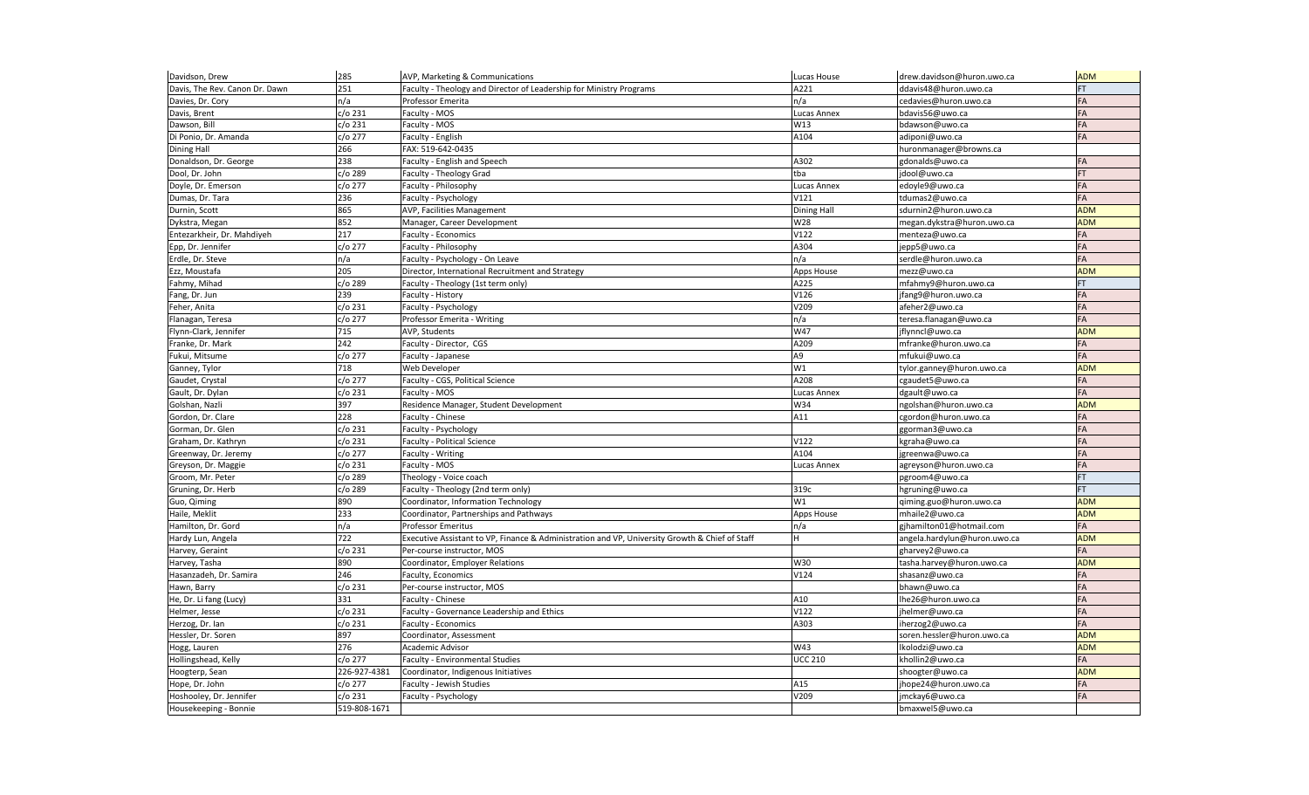| Davidson, Drew                 | 285           | <b>AVP, Marketing &amp; Communications</b>                                                     | Lucas House        | drew.davidson@huron.uwo.ca   | <b>ADM</b> |
|--------------------------------|---------------|------------------------------------------------------------------------------------------------|--------------------|------------------------------|------------|
| Davis, The Rev. Canon Dr. Dawn | 251           | Faculty - Theology and Director of Leadership for Ministry Programs                            | A221               | ddavis48@huron.uwo.ca        |            |
| Davies, Dr. Cory               | n/a           | Professor Emerita                                                                              | n/a                | cedavies@huron.uwo.ca        | <b>FA</b>  |
| Davis, Brent                   | c/o 231       | Faculty - MOS                                                                                  | Lucas Annex        | bdavis56@uwo.ca              | <b>FA</b>  |
| Dawson, Bill                   | c/o 231       | Faculty - MOS                                                                                  | W13                | bdawson@uwo.ca               | <b>FA</b>  |
| Di Ponio, Dr. Amanda           | c/o 277       | Faculty - English                                                                              | A104               | adiponi@uwo.ca               | FA         |
| <b>Dining Hall</b>             | 266           | FAX: 519-642-0435                                                                              |                    | huronmanager@browns.ca       |            |
| Donaldson, Dr. George          | 238           | <b>Faculty - English and Speech</b>                                                            | A302               | gdonalds@uwo.ca              | <b>FA</b>  |
| Dool, Dr. John                 | c/o 289       | Faculty - Theology Grad                                                                        | tba                | jdool@uwo.ca                 | FT         |
| Doyle, Dr. Emerson             | $c/o$ 277     | Faculty - Philosophy                                                                           | <b>Lucas Annex</b> | edoyle9@uwo.ca               | <b>FA</b>  |
| Dumas, Dr. Tara                | 236           | Faculty - Psychology                                                                           | V121               | tdumas2@uwo.ca               | <b>FA</b>  |
| Durnin, Scott                  | 865           | AVP, Facilities Management                                                                     | <b>Dining Hall</b> | sdurnin2@huron.uwo.ca        | <b>ADM</b> |
| Dykstra, Megan                 | 852           | Manager, Career Development                                                                    | W28                | megan.dykstra@huron.uwo.ca   | <b>ADM</b> |
| Entezarkheir, Dr. Mahdiyeh     | 217           | Faculty - Economics                                                                            | V122               | menteza@uwo.ca               | <b>FA</b>  |
| Epp, Dr. Jennifer              | c/o 277       | Faculty - Philosophy                                                                           | A304               | jepp5@uwo.ca                 | <b>FA</b>  |
| Erdle, Dr. Steve               | n/a           | Faculty - Psychology - On Leave                                                                | n/a                | serdle@huron.uwo.ca          | <b>FA</b>  |
| Ezz, Moustafa                  | 205           | Director, International Recruitment and Strategy                                               | <b>Apps House</b>  | mezz@uwo.ca                  | <b>ADM</b> |
| Fahmy, Mihad                   | c/o 289       | Faculty - Theology (1st term only)                                                             | A225               | mfahmy9@huron.uwo.ca         | FT         |
| Fang, Dr. Jun                  | 239           | Faculty - History                                                                              | V126               | jfang9@huron.uwo.ca          | <b>FA</b>  |
| Feher, Anita                   | c/o 231       | Faculty - Psychology                                                                           | V209               | afeher2@uwo.ca               | FA         |
| Flanagan, Teresa               | c/o 277       | Professor Emerita - Writing                                                                    | n/a                | teresa.flanagan@uwo.ca       | <b>FA</b>  |
| Flynn-Clark, Jennifer          | 715           | AVP, Students                                                                                  | W47                | jflynncl@uwo.ca              | <b>ADM</b> |
| Franke, Dr. Mark               | 242           | Faculty - Director, CGS                                                                        | A209               | mfranke@huron.uwo.ca         | <b>FA</b>  |
| Fukui, Mitsume                 | c/o 277       | Faculty - Japanese                                                                             | A <sub>9</sub>     | mfukui@uwo.ca                | FA         |
| Ganney, Tylor                  | 718           | Web Developer                                                                                  | W1                 | tylor.ganney@huron.uwo.ca    | <b>ADM</b> |
| Gaudet, Crystal                | $c/o$ 277     | Faculty - CGS, Political Science                                                               | A208               | cgaudet5@uwo.ca              | <b>FA</b>  |
| Gault, Dr. Dylan               | c/o 231       | Faculty - MOS                                                                                  | Lucas Annex        | dgault@uwo.ca                | <b>FA</b>  |
| Golshan, Nazli                 | 397           | Residence Manager, Student Development                                                         | W34                | ngolshan@huron.uwo.ca        | <b>ADM</b> |
| Gordon, Dr. Clare              | 228           | Faculty - Chinese                                                                              | A11                | cgordon@huron.uwo.ca         | FA         |
| Gorman, Dr. Glen               | c/o 231       | Faculty - Psychology                                                                           |                    | ggorman3@uwo.ca              | <b>FA</b>  |
| Graham, Dr. Kathryn            | $c/o$ 231     | <b>Faculty - Political Science</b>                                                             | V122               | kgraha@uwo.ca                | <b>FA</b>  |
| Greenway, Dr. Jeremy           | $c/o$ 277     | Faculty - Writing                                                                              | A104               | jgreenwa@uwo.ca              | <b>FA</b>  |
| Greyson, Dr. Maggie            | $c$ / $o$ 231 | Faculty - MOS                                                                                  | Lucas Annex        | agreyson@huron.uwo.ca        | <b>FA</b>  |
| Groom, Mr. Peter               | c/o 289       | Theology - Voice coach                                                                         |                    | pgroom4@uwo.ca               | FT         |
| Gruning, Dr. Herb              | c/o 289       | Faculty - Theology (2nd term only)                                                             | 319c               | hgruning@uwo.ca              | <b>FT</b>  |
| Guo, Qiming                    | 890           | Coordinator, Information Technology                                                            | W1                 | qiming.guo@huron.uwo.ca      | <b>ADM</b> |
| Haile, Meklit                  | 233           | Coordinator, Partnerships and Pathways                                                         | Apps House         | mhaile2@uwo.ca               | <b>ADM</b> |
| Hamilton, Dr. Gord             | n/a           | <b>Professor Emeritus</b>                                                                      | n/a                | gjhamilton01@hotmail.com     | <b>FA</b>  |
| Hardy Lun, Angela              | 722           | Executive Assistant to VP, Finance & Administration and VP, University Growth & Chief of Staff | H                  | angela.hardylun@huron.uwo.ca | <b>ADM</b> |
| Harvey, Geraint                | $c$ /o 231    | Per-course instructor, MOS                                                                     |                    | gharvey2@uwo.ca              | <b>FA</b>  |
| Harvey, Tasha                  | 890           | Coordinator, Employer Relations                                                                | W30                | tasha.harvey@huron.uwo.ca    | <b>ADM</b> |
| Hasanzadeh, Dr. Samira         | 246           | Faculty, Economics                                                                             | V124               | shasanz@uwo.ca               | <b>FA</b>  |
| Hawn, Barry                    | $c$ /o 231    | Per-course instructor, MOS                                                                     |                    | bhawn@uwo.ca                 | FA         |
| He, Dr. Li fang (Lucy)         | 331           | Faculty - Chinese                                                                              | A10                | lhe26@huron.uwo.ca           | FA         |
| Helmer, Jesse                  | c/o 231       | Faculty - Governance Leadership and Ethics                                                     | V122               | jhelmer@uwo.ca               | FA         |
| Herzog, Dr. Ian                | c/o 231       | <b>Faculty - Economics</b>                                                                     | A303               | iherzog2@uwo.ca              | <b>FA</b>  |
| Hessler, Dr. Soren             | 897           | Coordinator, Assessment                                                                        |                    | soren.hessler@huron.uwo.ca   | <b>ADM</b> |
| Hogg, Lauren                   | 276           | Academic Advisor                                                                               | W43                | Ikolodzi@uwo.ca              | <b>ADM</b> |
| Hollingshead, Kelly            | $c$ /o 277    | <b>Faculty - Environmental Studies</b>                                                         | <b>UCC 210</b>     | khollin2@uwo.ca              | <b>FA</b>  |
| Hoogterp, Sean                 | 226-927-4381  | Coordinator, Indigenous Initiatives                                                            |                    | shoogter@uwo.ca              | <b>ADM</b> |
| Hope, Dr. John                 | $c$ /o 277    | Faculty - Jewish Studies                                                                       | A15                | jhope24@huron.uwo.ca         | <b>FA</b>  |
| Hoshooley, Dr. Jennifer        | c/o 231       | Faculty - Psychology                                                                           | V209               | jmckay6@uwo.ca               | FA         |
| Housekeeping - Bonnie          | 519-808-1671  |                                                                                                |                    | bmaxwel5@uwo.ca              |            |
|                                |               |                                                                                                |                    |                              |            |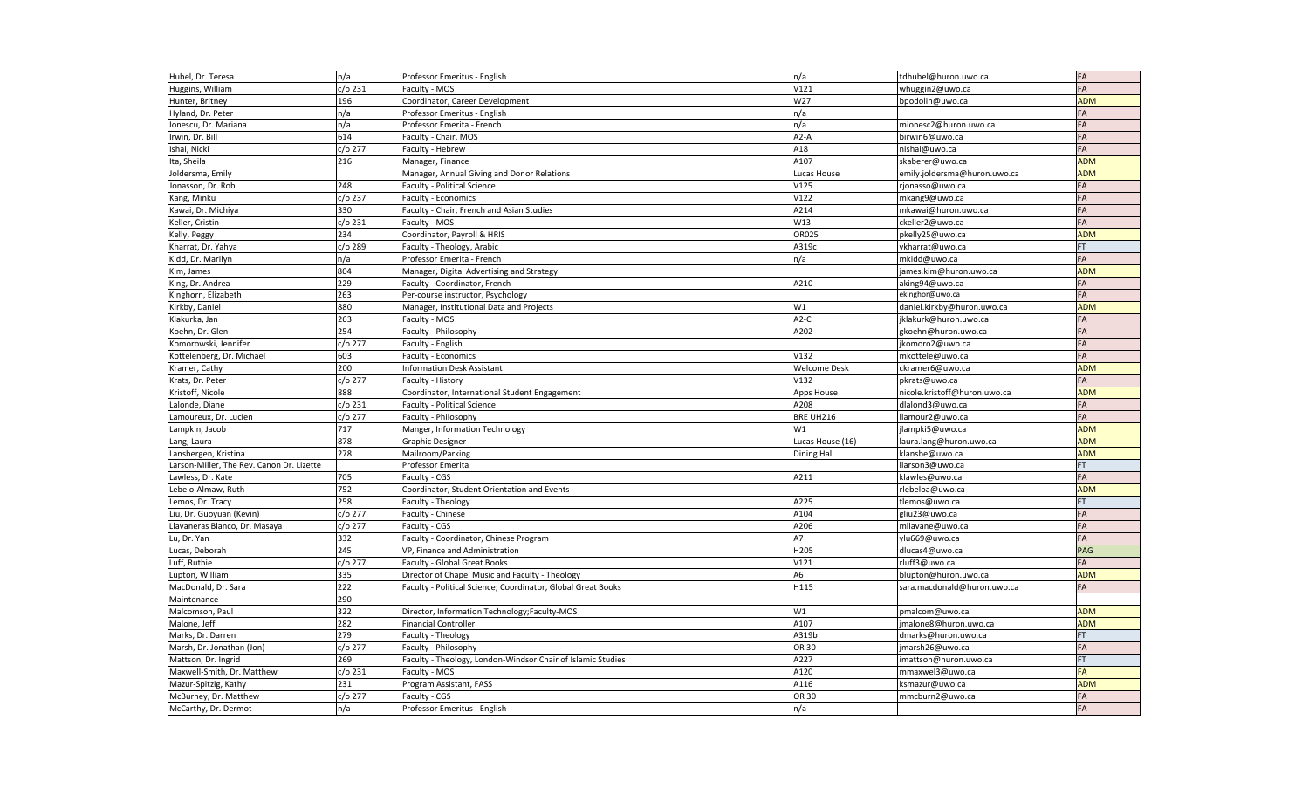| Hubel, Dr. Teresa                                 | n/a              | Professor Emeritus - English                                 | n/a                 | tdhubel@huron.uwo.ca                    | FA         |
|---------------------------------------------------|------------------|--------------------------------------------------------------|---------------------|-----------------------------------------|------------|
| Huggins, William                                  | $c$ /o 231       | Faculty - MOS                                                | V121                | whuggin2@uwo.ca                         | <b>FA</b>  |
| Hunter, Britney                                   | 196              | Coordinator, Career Development                              | W27                 | bpodolin@uwo.ca                         | <b>ADM</b> |
| Hyland, Dr. Peter                                 | n/a              | Professor Emeritus - English                                 | n/a                 |                                         | FA         |
| Ionescu, Dr. Mariana                              | n/a              | Professor Emerita - French                                   | n/a                 | mionesc2@huron.uwo.ca                   | FA         |
| Irwin, Dr. Bill                                   | 614              | Faculty - Chair, MOS                                         | $A2-A$              | birwin6@uwo.ca                          |            |
| Ishai, Nicki                                      | c/o 277          | Faculty - Hebrew                                             | A18                 | nishai@uwo.ca                           | FA         |
| Ita, Sheila                                       | 216              | Manager, Finance                                             | A107                | skaberer@uwo.ca                         | <b>ADM</b> |
| Joldersma, Emily                                  |                  | Manager, Annual Giving and Donor Relations                   | Lucas House         | emily.joldersma@huron.uwo.ca            | <b>ADM</b> |
| Jonasson, Dr. Rob                                 | 248              | <b>Faculty - Political Science</b>                           | V125                | rjonasso@uwo.ca                         | <b>FA</b>  |
| Kang, Minku                                       | $c/o$ 237        | Faculty - Economics                                          | V122                | mkang9@uwo.ca                           | <b>FA</b>  |
| Kawai, Dr. Michiya                                | 330              | Faculty - Chair, French and Asian Studies                    | A214                | mkawai@huron.uwo.ca                     | FA         |
| Keller, Cristin                                   | c/o 231          | Faculty - MOS                                                | W13                 | ckeller2@uwo.ca                         | <b>FA</b>  |
| Kelly, Peggy                                      | 234              | Coordinator, Payroll & HRIS                                  | <b>OR025</b>        | pkelly25@uwo.ca                         | <b>ADM</b> |
| Kharrat, Dr. Yahya                                | c/o 289          | Faculty - Theology, Arabic                                   | A319c               | ykharrat@uwo.ca                         |            |
| Kidd, Dr. Marilyn                                 | n/a              | Professor Emerita - French                                   | n/a                 | mkidd@uwo.ca                            | <b>FA</b>  |
| Kim, James                                        | 804              | Manager, Digital Advertising and Strategy                    |                     | ames.kim@huron.uwo.ca                   | <b>ADM</b> |
| King, Dr. Andrea                                  | 229              | Faculty - Coordinator, French                                | A210                | aking94@uwo.ca                          | <b>FA</b>  |
| Kinghorn, Elizabeth                               | 263              | Per-course instructor, Psychology                            |                     | ekinghor@uwo.ca                         | <b>FA</b>  |
| Kirkby, Daniel                                    | 880              | Manager, Institutional Data and Projects                     | W1                  | daniel.kirkby@huron.uwo.ca              | <b>ADM</b> |
| Klakurka, Jan                                     | 263              | Faculty - MOS                                                | $A2-C$              | klakurk@huron.uwo.ca                    | <b>FA</b>  |
| Koehn, Dr. Glen                                   | 254              | Faculty - Philosophy                                         | A202                | gkoehn@huron.uwo.ca                     | <b>FA</b>  |
| Komorowski, Jennifer                              | $c/o$ 277        | Faculty - English                                            |                     | komoro2@uwo.ca                          | FA         |
| Kottelenberg, Dr. Michael                         | 603              | <b>Faculty - Economics</b>                                   | V132                | mkottele@uwo.ca                         | FA         |
| Kramer, Cathy                                     | 200              | <b>Information Desk Assistant</b>                            | <b>Welcome Desk</b> | ckramer6@uwo.ca                         | <b>ADM</b> |
| Krats, Dr. Peter                                  | c/o 277          | Faculty - History                                            | V132                | pkrats@uwo.ca                           | <b>FA</b>  |
| Kristoff, Nicole                                  | 888              | Coordinator, International Student Engagement                | <b>Apps House</b>   | nicole.kristoff@huron.uwo.ca            | <b>ADM</b> |
| Lalonde, Diane                                    | $c/o$ 231        | <b>Faculty - Political Science</b>                           | A208                | dlalond3@uwo.ca                         | FA         |
| Lamoureux, Dr. Lucien                             | $c/o$ 277        | Faculty - Philosophy                                         | BRE UH216           | lamour2@uwo.ca                          | <b>FA</b>  |
| Lampkin, Jacob                                    | 717              | Manger, Information Technology                               | W1                  | lampki5@uwo.ca                          | <b>ADM</b> |
| Lang, Laura                                       | 878              | <b>Graphic Designer</b>                                      | Lucas House (16)    | aura.lang@huron.uwo.ca                  | <b>ADM</b> |
| Lansbergen, Kristina                              | 278              | Mailroom/Parking                                             | <b>Dining Hall</b>  | klansbe@uwo.ca                          | <b>ADM</b> |
| Larson-Miller, The Rev. Canon Dr. Lizette         |                  | Professor Emerita                                            |                     | larson3@uwo.ca                          | <b>FT</b>  |
| Lawless, Dr. Kate                                 | 705              | Faculty - CGS                                                | A211                | klawles@uwo.ca                          | <b>FA</b>  |
| Lebelo-Almaw, Ruth                                | 752              | Coordinator, Student Orientation and Events                  |                     | rlebeloa@uwo.ca                         | <b>ADM</b> |
| Lemos, Dr. Tracy                                  | 258              | Faculty - Theology                                           | A225                | tlemos@uwo.ca                           |            |
| Liu, Dr. Guoyuan (Kevin)                          | $c/o$ 277        | Faculty - Chinese                                            | A104                | gliu23@uwo.ca                           | FA         |
| Llavaneras Blanco, Dr. Masaya                     | c/o 277          | Faculty - CGS                                                | A206                | mllavane@uwo.ca                         | FA         |
| Lu, Dr. Yan                                       | 332              | Faculty - Coordinator, Chinese Program                       | A7                  | ylu669@uwo.ca                           | <b>FA</b>  |
| Lucas, Deborah                                    | 245              | VP, Finance and Administration                               | H205                | dlucas4@uwo.ca                          | PAG        |
| Luff, Ruthie                                      | c/o 277          | <b>Faculty - Global Great Books</b>                          | V121                | luff3@uwo.ca                            | <b>FA</b>  |
| Lupton, William                                   | 335              | Director of Chapel Music and Faculty - Theology              | A <sub>6</sub>      | blupton@huron.uwo.ca                    | <b>ADM</b> |
| MacDonald, Dr. Sara                               | 222              | Faculty - Political Science; Coordinator, Global Great Books | H115                | sara.macdonald@huron.uwo.ca             | <b>FA</b>  |
| Maintenance                                       | 290              |                                                              |                     |                                         |            |
| Malcomson, Paul                                   | 322              | Director, Information Technology;Faculty-MOS                 | W1                  | pmalcom@uwo.ca                          | <b>ADM</b> |
| Malone, Jeff                                      | 282              | <b>Financial Controller</b>                                  | A107                | malone8@huron.uwo.ca                    | <b>ADM</b> |
| Marks, Dr. Darren                                 | 279              | Faculty - Theology                                           | A319b               | dmarks@huron.uwo.ca                     | FT         |
| Marsh, Dr. Jonathan (Jon)                         | c/o 277          | Faculty - Philosophy                                         | <b>OR 30</b>        | marsh26@uwo.ca                          | FA         |
|                                                   |                  | Faculty - Theology, London-Windsor Chair of Islamic Studies  | A227                |                                         | <b>FT</b>  |
| Mattson, Dr. Ingrid<br>Maxwell-Smith, Dr. Matthew | 269<br>$c/o$ 231 | Faculty - MOS                                                | A120                | mattson@huron.uwo.ca<br>mmaxwel3@uwo.ca | <b>FA</b>  |
|                                                   |                  |                                                              | A116                | ksmazur@uwo.ca                          | <b>ADM</b> |
| Mazur-Spitzig, Kathy                              | 231              | Program Assistant, FASS                                      |                     |                                         |            |
| McBurney, Dr. Matthew                             | $c/o$ 277        | Faculty - CGS                                                | <b>OR 30</b>        | mmcburn2@uwo.ca                         | <b>FA</b>  |
| McCarthy, Dr. Dermot                              | n/a              | Professor Emeritus - English                                 | n/a                 |                                         | <b>FA</b>  |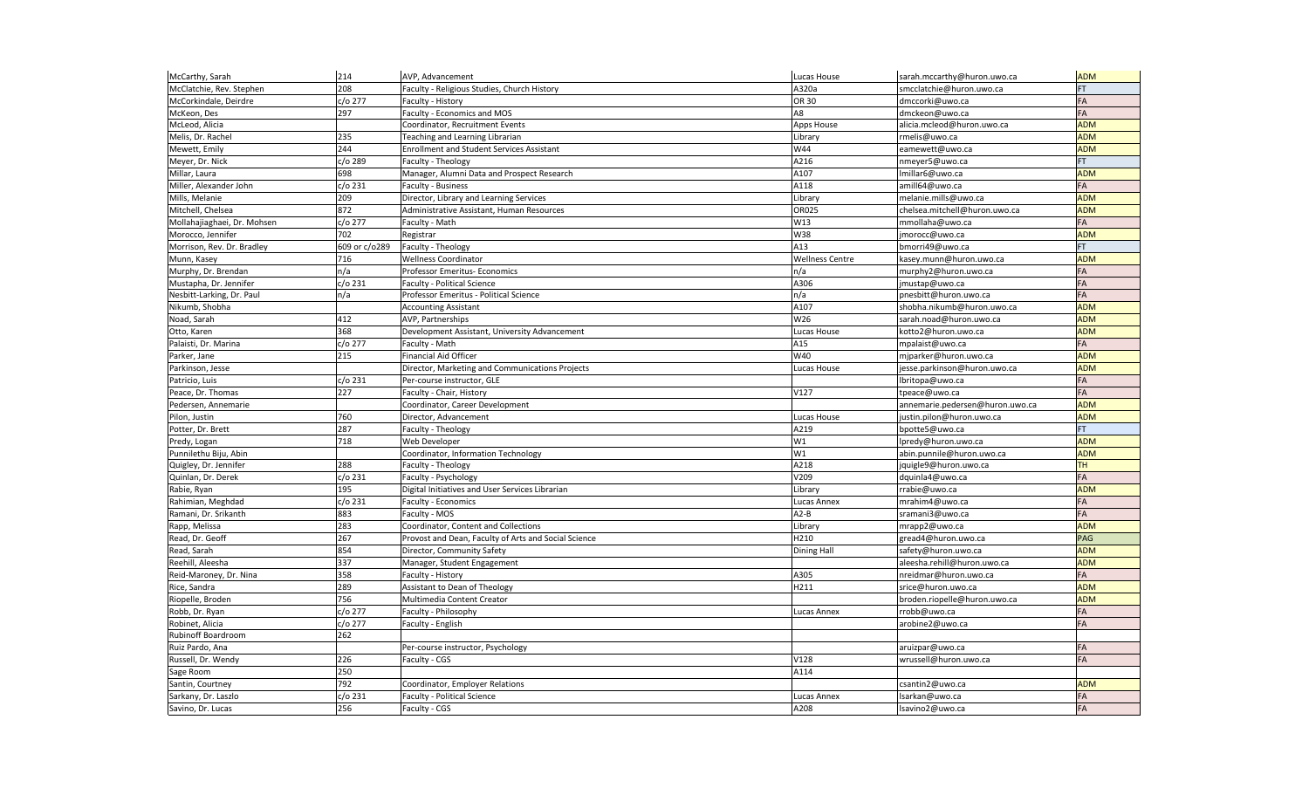| McCarthy, Sarah             | 214           | AVP, Advancement                                     | Lucas House            | sarah.mccarthy@huron.uwo.ca     | <b>ADM</b> |
|-----------------------------|---------------|------------------------------------------------------|------------------------|---------------------------------|------------|
| McClatchie, Rev. Stephen    | 208           | Faculty - Religious Studies, Church History          | A320a                  | smcclatchie@huron.uwo.ca        |            |
| McCorkindale, Deirdre       | $c/o$ 277     | Faculty - History                                    | <b>OR 30</b>           | dmccorki@uwo.ca                 | <b>FA</b>  |
| McKeon, Des                 | 297           | <b>Faculty - Economics and MOS</b>                   | A <sub>8</sub>         | dmckeon@uwo.ca                  | FA         |
| McLeod, Alicia              |               | Coordinator, Recruitment Events                      | Apps House             | alicia.mcleod@huron.uwo.ca      | <b>ADM</b> |
| Melis, Dr. Rachel           | 235           | Teaching and Learning Librarian                      | Library                | rmelis@uwo.ca                   | <b>ADM</b> |
| Mewett, Emily               | 244           | <b>Enrollment and Student Services Assistant</b>     | W44                    | eamewett@uwo.ca                 | <b>ADM</b> |
| Meyer, Dr. Nick             | c/o 289       | Faculty - Theology                                   | A216                   | nmeyer5@uwo.ca                  | <b>FT</b>  |
| Millar, Laura               | 698           | Manager, Alumni Data and Prospect Research           | A107                   | Imillar6@uwo.ca                 | <b>ADM</b> |
| Miller, Alexander John      | $c$ /o 231    | <b>Faculty - Business</b>                            | A118                   | amill64@uwo.ca                  | FA         |
| Mills, Melanie              | 209           | Director, Library and Learning Services              | Library                | melanie.mills@uwo.ca            | <b>ADM</b> |
| Mitchell, Chelsea           | 872           | Administrative Assistant, Human Resources            | <b>OR025</b>           | chelsea.mitchell@huron.uwo.ca   | <b>ADM</b> |
| Mollahajiaghaei, Dr. Mohsen | c/o 277       | Faculty - Math                                       | W13                    | mmollaha@uwo.ca                 | FA         |
| Morocco, Jennifer           | 702           | Registrar                                            | W38                    | jmorocc@uwo.ca                  | <b>ADM</b> |
| Morrison, Rev. Dr. Bradley  | 609 or c/o289 | Faculty - Theology                                   | A13                    | bmorri49@uwo.ca                 | <b>FT</b>  |
| Munn, Kasey                 | 716           | <b>Wellness Coordinator</b>                          | <b>Wellness Centre</b> | kasey.munn@huron.uwo.ca         | <b>ADM</b> |
| Murphy, Dr. Brendan         | n/a           | <b>Professor Emeritus- Economics</b>                 | n/a                    | murphy2@huron.uwo.ca            | FA         |
| Mustapha, Dr. Jennifer      | c/o 231       | <b>Faculty - Political Science</b>                   | A306                   | jmustap@uwo.ca                  | FA         |
| Nesbitt-Larking, Dr. Paul   | n/a           | Professor Emeritus - Political Science               | n/a                    | pnesbitt@huron.uwo.ca           | <b>FA</b>  |
| Nikumb, Shobha              |               | <b>Accounting Assistant</b>                          | A107                   | shobha.nikumb@huron.uwo.ca      | <b>ADM</b> |
| Noad, Sarah                 | 412           | AVP, Partnerships                                    | W26                    | sarah.noad@huron.uwo.ca         | <b>ADM</b> |
| Otto, Karen                 | 368           | Development Assistant, University Advancement        | Lucas House            | kotto2@huron.uwo.ca             | <b>ADM</b> |
| Palaisti, Dr. Marina        | $c/o$ 277     | Faculty - Math                                       | A15                    | mpalaist@uwo.ca                 | <b>FA</b>  |
| Parker, Jane                | 215           | Financial Aid Officer                                | W40                    | mjparker@huron.uwo.ca           | <b>ADM</b> |
| Parkinson, Jesse            |               | Director, Marketing and Communications Projects      | Lucas House            | jesse.parkinson@huron.uwo.ca    | <b>ADM</b> |
| Patricio, Luis              | $c$ / $o$ 231 | Per-course instructor, GLE                           |                        | lbritopa@uwo.ca                 | FA         |
| Peace, Dr. Thomas           | 227           | Faculty - Chair, History                             | V127                   | tpeace@uwo.ca                   | <b>FA</b>  |
| Pedersen, Annemarie         |               | Coordinator, Career Development                      |                        | annemarie.pedersen@huron.uwo.ca | <b>ADM</b> |
| Pilon, Justin               | 760           | Director, Advancement                                | Lucas House            | justin.pilon@huron.uwo.ca       | <b>ADM</b> |
| Potter, Dr. Brett           | 287           | Faculty - Theology                                   | A219                   | bpotte5@uwo.ca                  |            |
| Predy, Logan                | 718           | Web Developer                                        | W1                     | lpredy@huron.uwo.ca             | <b>ADM</b> |
| Punnilethu Biju, Abin       |               | Coordinator, Information Technology                  | W1                     | abin.punnile@huron.uwo.ca       | <b>ADM</b> |
| Quigley, Dr. Jennifer       | 288           | Faculty - Theology                                   | A218                   | jquigle9@huron.uwo.ca           | <b>TH</b>  |
| Quinlan, Dr. Derek          | $c/o$ 231     | Faculty - Psychology                                 | V209                   | dquinla4@uwo.ca                 | <b>FA</b>  |
| Rabie, Ryan                 | 195           | Digital Initiatives and User Services Librarian      | Library                | rrabie@uwo.ca                   | <b>ADM</b> |
| Rahimian, Meghdad           | $c/o$ 231     | Faculty - Economics                                  | Lucas Annex            | mrahim4@uwo.ca                  |            |
| Ramani, Dr. Srikanth        | 883           | Faculty - MOS                                        | $A2-B$                 | sramani3@uwo.ca                 | <b>FA</b>  |
| Rapp, Melissa               | 283           | Coordinator, Content and Collections                 | Library                | mrapp2@uwo.ca                   | <b>ADM</b> |
| Read, Dr. Geoff             | 267           | Provost and Dean, Faculty of Arts and Social Science | H210                   | gread4@huron.uwo.ca             | PAG        |
| Read, Sarah                 | 854           | Director, Community Safety                           | <b>Dining Hall</b>     | safety@huron.uwo.ca             | <b>ADM</b> |
| Reehill, Aleesha            | 337           | Manager, Student Engagement                          |                        | aleesha.rehill@huron.uwo.ca     | <b>ADM</b> |
| Reid-Maroney, Dr. Nina      | 358           | Faculty - History                                    | A305                   | nreidmar@huron.uwo.ca           | <b>FA</b>  |
| Rice, Sandra                | 289           | <b>Assistant to Dean of Theology</b>                 | H211                   | srice@huron.uwo.ca              | <b>ADM</b> |
| Riopelle, Broden            | 756           | Multimedia Content Creator                           |                        | broden.riopelle@huron.uwo.ca    | <b>ADM</b> |
| Robb, Dr. Ryan              | c/o 277       | Faculty - Philosophy                                 | Lucas Annex            | rrobb@uwo.ca                    | FA         |
| Robinet, Alicia             | c/o 277       | Faculty - English                                    |                        | arobine2@uwo.ca                 | FA         |
| <b>Rubinoff Boardroom</b>   | 262           |                                                      |                        |                                 |            |
| Ruiz Pardo, Ana             |               | Per-course instructor, Psychology                    |                        | aruizpar@uwo.ca                 | <b>FA</b>  |
| Russell, Dr. Wendy          | 226           | Faculty - CGS                                        | V128                   | wrussell@huron.uwo.ca           | <b>FA</b>  |
| Sage Room                   | 250           |                                                      | A114                   |                                 |            |
| Santin, Courtney            | 792           | Coordinator, Employer Relations                      |                        | csantin2@uwo.ca                 | <b>ADM</b> |
| Sarkany, Dr. Laszlo         | $c/o$ 231     | <b>Faculty - Political Science</b>                   | Lucas Annex            | lsarkan@uwo.ca                  | FA         |
| Savino, Dr. Lucas           | 256           | Faculty - CGS                                        | A208                   | Isavino2@uwo.ca                 | FA         |
|                             |               |                                                      |                        |                                 |            |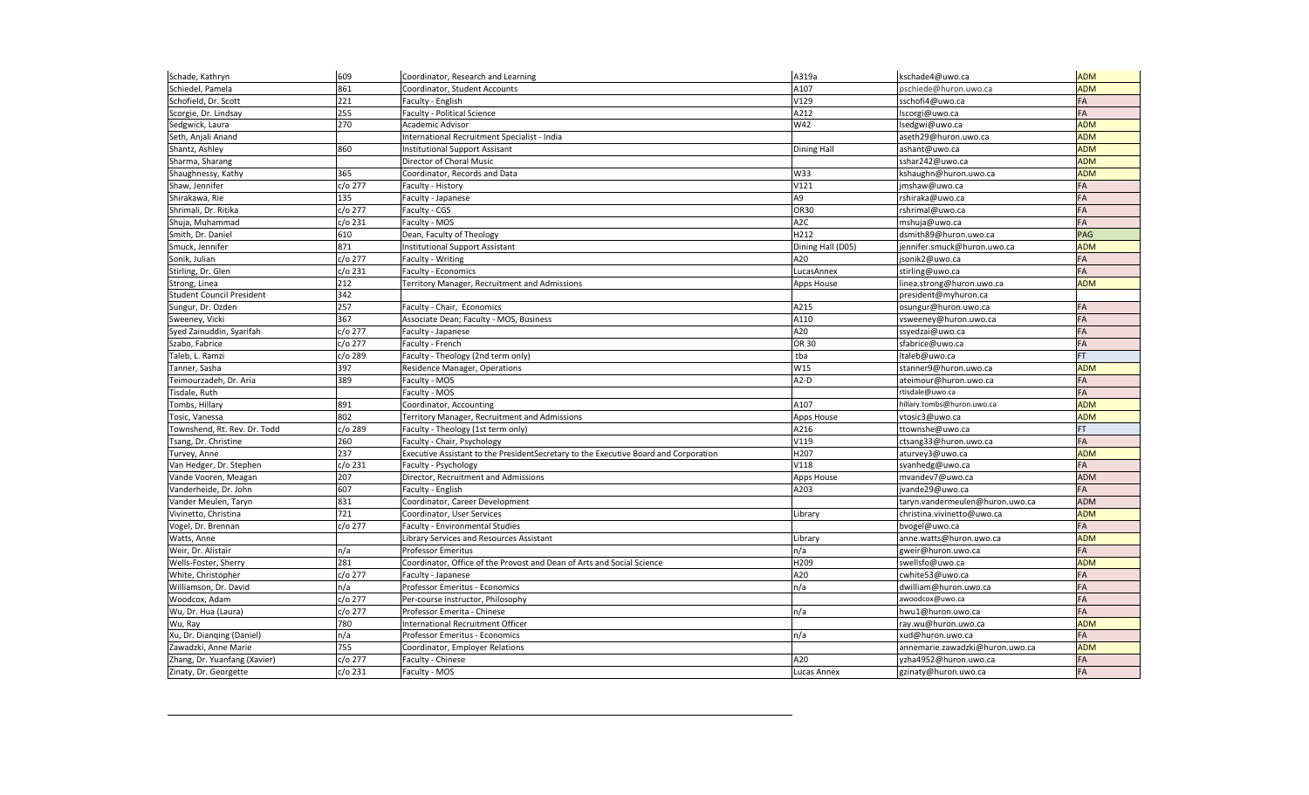| Schade, Kathryn                  | 609       | Coordinator, Research and Learning                                                   | A319a              | kschade4@uwo.ca                 | <b>ADM</b> |
|----------------------------------|-----------|--------------------------------------------------------------------------------------|--------------------|---------------------------------|------------|
| Schiedel, Pamela                 | 861       | Coordinator, Student Accounts                                                        | A107               | pschiede@huron.uwo.ca           | <b>ADM</b> |
| Schofield, Dr. Scott             | 221       | Faculty - English                                                                    | V129               | sschofi4@uwo.ca                 | <b>FA</b>  |
| Scorgie, Dr. Lindsay             | 255       | <b>Faculty - Political Science</b>                                                   | A212               | Iscorgi@uwo.ca                  | <b>FA</b>  |
| Sedgwick, Laura                  | 270       | <b>Academic Advisor</b>                                                              | W42                | Isedgwi@uwo.ca                  | <b>ADM</b> |
| Seth, Anjali Anand               |           | International Recruitment Specialist - India                                         |                    | aseth29@huron.uwo.ca            | <b>ADM</b> |
| Shantz, Ashley                   | 860       | <b>Institutional Support Assisant</b>                                                | <b>Dining Hall</b> | ashant@uwo.ca                   | <b>ADM</b> |
| Sharma, Sharang                  |           | Director of Choral Music                                                             |                    | sshar242@uwo.ca                 | <b>ADM</b> |
| Shaughnessy, Kathy               | 365       | Coordinator, Records and Data                                                        | W33                | kshaughn@huron.uwo.ca           | <b>ADM</b> |
| Shaw, Jennifer                   | c/o 277   | Faculty - History                                                                    | V121               | jmshaw@uwo.ca                   |            |
| Shirakawa, Rie                   | 135       | Faculty - Japanese                                                                   | A <sub>9</sub>     | rshiraka@uwo.ca                 | <b>FA</b>  |
| Shrimali, Dr. Ritika             | c/o 277   | Faculty - CGS                                                                        | <b>OR30</b>        | rshrimal@uwo.ca                 | <b>FA</b>  |
| Shuja, Muhammad                  | $c/o$ 231 | Faculty - MOS                                                                        | A <sub>2</sub> C   | mshuja@uwo.ca                   | <b>FA</b>  |
| Smith, Dr. Daniel                | 610       | Dean, Faculty of Theology                                                            | H212               | dsmith89@huron.uwo.ca           | PAG        |
| Smuck, Jennifer                  | 871       | <b>Institutional Support Assistant</b>                                               | Dining Hall (D05)  | jennifer.smuck@huron.uwo.ca     | <b>ADM</b> |
| Sonik, Julian                    | c/o 277   | <b>Faculty - Writing</b>                                                             | A20                | jsonik2@uwo.ca                  | FA         |
| Stirling, Dr. Glen               | c/o 231   | <b>Faculty - Economics</b>                                                           | LucasAnnex         | stirling@uwo.ca                 | <b>FA</b>  |
| Strong, Linea                    | 212       | Territory Manager, Recruitment and Admissions                                        | <b>Apps House</b>  | linea.strong@huron.uwo.ca       | <b>ADM</b> |
| <b>Student Council President</b> | 342       |                                                                                      |                    | president@myhuron.ca            |            |
| Sungur, Dr. Ozden                | 257       | Faculty - Chair, Economics                                                           | A215               | osungur@huron.uwo.ca            | FA         |
| Sweeney, Vicki                   | 367       | Associate Dean; Faculty - MOS, Business                                              | A110               | vsweeney@huron.uwo.ca           | <b>FA</b>  |
| Syed Zainuddin, Syarifah         | c/o 277   | Faculty - Japanese                                                                   | A20                | ssyedzai@uwo.ca                 | FA         |
| Szabo, Fabrice                   | c/o 277   | Faculty - French                                                                     | <b>OR 30</b>       | sfabrice@uwo.ca                 | <b>FA</b>  |
| Taleb, L. Ramzi                  | c/o 289   | Faculty - Theology (2nd term only)                                                   | tba                | Italeb@uwo.ca                   |            |
| Tanner, Sasha                    | 397       | Residence Manager, Operations                                                        | W15                | stanner9@huron.uwo.ca           | <b>ADM</b> |
| Teimourzadeh, Dr. Aria           | 389       | Faculty - MOS                                                                        | $A2-D$             | ateimour@huron.uwo.ca           | FA         |
| Tisdale, Ruth                    |           | Faculty - MOS                                                                        |                    | rtisdale@uwo.ca                 | <b>FA</b>  |
| Tombs, Hillary                   | 891       | Coordinator, Accounting                                                              | A107               | hillary.tombs@huron.uwo.ca      | <b>ADM</b> |
| Tosic, Vanessa                   | 802       | Territory Manager, Recruitment and Admissions                                        | Apps House         | vtosic3@uwo.ca                  | <b>ADM</b> |
| Townshend, Rt. Rev. Dr. Todd     | c/o 289   | Faculty - Theology (1st term only)                                                   | A216               | ttownshe@uwo.ca                 |            |
| Tsang, Dr. Christine             | 260       | Faculty - Chair, Psychology                                                          | V119               | ctsang33@huron.uwo.ca           | FA         |
| Turvey, Anne                     | 237       | Executive Assistant to the PresidentSecretary to the Executive Board and Corporation | H207               | aturvey3@uwo.ca                 | <b>ADM</b> |
| Van Hedger, Dr. Stephen          | c/o 231   | Faculty - Psychology                                                                 | V118               | svanhedg@uwo.ca                 | FA         |
| Vande Vooren, Meagan             | 207       | Director, Recruitment and Admissions                                                 | Apps House         | mvandev7@uwo.ca                 | <b>ADM</b> |
| Vanderheide, Dr. John            | 607       | Faculty - English                                                                    | A203               | jvande29@uwo.ca                 | <b>FA</b>  |
| Vander Meulen, Taryn             | 831       | Coordinator, Career Development                                                      |                    | taryn.vandermeulen@huron.uwo.ca | <b>ADM</b> |
| Vivinetto, Christina             | 721       | Coordinator, User Services                                                           | Library            | christina.vivinetto@uwo.ca      | <b>ADM</b> |
| Vogel, Dr. Brennan               | c/o 277   | <b>Faculty - Environmental Studies</b>                                               |                    | bvogel@uwo.ca                   | FA         |
| Watts, Anne                      |           | Library Services and Resources Assistant                                             | Library            | anne.watts@huron.uwo.ca         | <b>ADM</b> |
| Weir, Dr. Alistair               | n/a       | <b>Professor Emeritus</b>                                                            | n/a                | gweir@huron.uwo.ca              | FA         |
| Wells-Foster, Sherry             | 281       | Coordinator, Office of the Provost and Dean of Arts and Social Science               | H209               | swellsfo@uwo.ca                 | <b>ADM</b> |
| White, Christopher               | c/o 277   | Faculty - Japanese                                                                   | A20                | cwhite53@uwo.ca                 | <b>FA</b>  |
| Williamson, Dr. David            | n/a       | Professor Emeritus - Economics                                                       | n/a                | dwilliam@huron.uwo.ca           | <b>FA</b>  |
| Woodcox, Adam                    | c/o 277   | Per-course instructor, Philosophy                                                    |                    | awoodcox@uwo.ca                 | FA         |
| Wu, Dr. Hua (Laura)              | c/o 277   | Professor Emerita - Chinese                                                          | n/a                | hwu1@huron.uwo.ca               | FA         |
| Wu, Ray                          | 780       | International Recruitment Officer                                                    |                    | ray.wu@huron.uwo.ca             | <b>ADM</b> |
| Xu, Dr. Dianqing (Daniel)        | n/a       | Professor Emeritus - Economics                                                       | n/a                | xud@huron.uwo.ca                | FA         |
| Zawadzki, Anne Marie             | 755       | Coordinator, Employer Relations                                                      |                    | annemarie.zawadzki@huron.uwo.ca | <b>ADM</b> |
| Zhang, Dr. Yuanfang (Xavier)     | c/o 277   | Faculty - Chinese                                                                    | A20                | yzha4952@huron.uwo.ca           | FA         |
| Zinaty, Dr. Georgette            | c/o 231   | Faculty - MOS                                                                        | Lucas Annex        | gzinaty@huron.uwo.ca            | <b>FA</b>  |